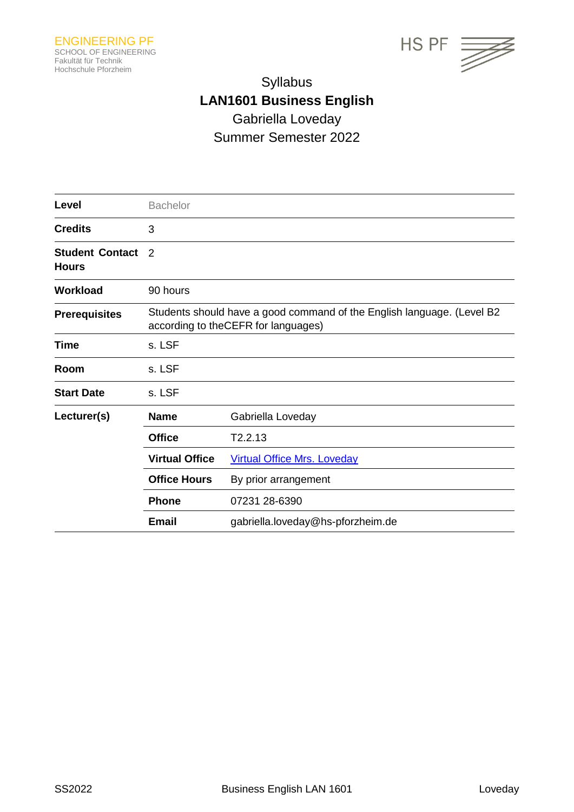



# Syllabus **LAN1601 Business English** Gabriella Loveday Summer Semester 2022

| Level                                  | <b>Bachelor</b>                                                                                                |                                    |  |
|----------------------------------------|----------------------------------------------------------------------------------------------------------------|------------------------------------|--|
| <b>Credits</b>                         | 3                                                                                                              |                                    |  |
| <b>Student Contact</b><br><b>Hours</b> | 2                                                                                                              |                                    |  |
| <b>Workload</b>                        | 90 hours                                                                                                       |                                    |  |
| <b>Prerequisites</b>                   | Students should have a good command of the English language. (Level B2<br>according to the CEFR for languages) |                                    |  |
| <b>Time</b>                            | s. LSF                                                                                                         |                                    |  |
| Room                                   | s. LSF                                                                                                         |                                    |  |
| <b>Start Date</b>                      | s. LSF                                                                                                         |                                    |  |
| Lecturer(s)                            | <b>Name</b>                                                                                                    | Gabriella Loveday                  |  |
|                                        | <b>Office</b>                                                                                                  | T2.2.13                            |  |
|                                        | <b>Virtual Office</b>                                                                                          | <b>Virtual Office Mrs. Loveday</b> |  |
|                                        | <b>Office Hours</b>                                                                                            | By prior arrangement               |  |
|                                        | <b>Phone</b>                                                                                                   | 07231 28-6390                      |  |
|                                        | <b>Email</b>                                                                                                   | gabriella.loveday@hs-pforzheim.de  |  |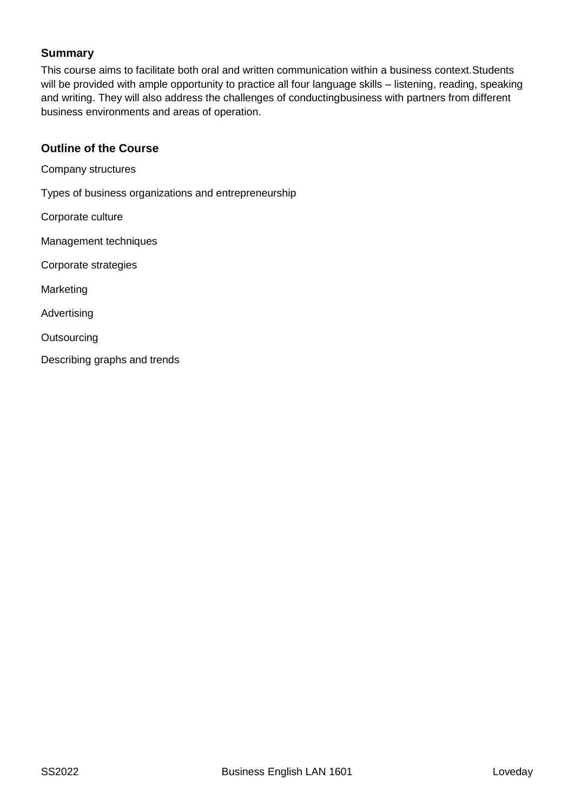## **Summary**

This course aims to facilitate both oral and written communication within a business context.Students will be provided with ample opportunity to practice all four language skills – listening, reading, speaking and writing. They will also address the challenges of conductingbusiness with partners from different business environments and areas of operation.

## **Outline of the Course**

Company structures

Types of business organizations and entrepreneurship

Corporate culture

Management techniques

Corporate strategies

Marketing

Advertising

**Outsourcing** 

Describing graphs and trends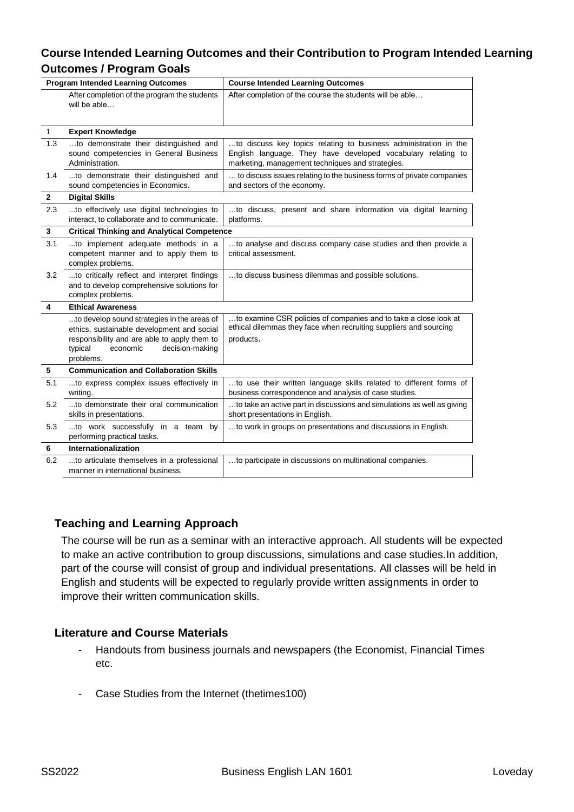## **Course Intended Learning Outcomes and their Contribution to Program Intended Learning Outcomes / Program Goals**

| <b>Program Intended Learning Outcomes</b> |                                                                                                                                                                                                  | <b>Course Intended Learning Outcomes</b>                                                                                                                                             |  |
|-------------------------------------------|--------------------------------------------------------------------------------------------------------------------------------------------------------------------------------------------------|--------------------------------------------------------------------------------------------------------------------------------------------------------------------------------------|--|
|                                           | After completion of the program the students<br>will be able                                                                                                                                     | After completion of the course the students will be able                                                                                                                             |  |
| $\mathbf{1}$                              | <b>Expert Knowledge</b>                                                                                                                                                                          |                                                                                                                                                                                      |  |
| 1.3                                       | to demonstrate their distinguished and<br>sound competencies in General Business<br>Administration.                                                                                              | to discuss key topics relating to business administration in the<br>English language. They have developed vocabulary relating to<br>marketing, management techniques and strategies. |  |
| 1.4                                       | to demonstrate their distinguished and<br>sound competencies in Economics.                                                                                                                       | to discuss issues relating to the business forms of private companies<br>and sectors of the economy.                                                                                 |  |
| $\mathbf{2}$                              | <b>Digital Skills</b>                                                                                                                                                                            |                                                                                                                                                                                      |  |
| 2.3                                       | to effectively use digital technologies to<br>interact, to collaborate and to communicate.                                                                                                       | to discuss, present and share information via digital learning<br>platforms.                                                                                                         |  |
| 3                                         | <b>Critical Thinking and Analytical Competence</b>                                                                                                                                               |                                                                                                                                                                                      |  |
| 3.1                                       | to implement adequate methods in a<br>competent manner and to apply them to<br>complex problems.                                                                                                 | to analyse and discuss company case studies and then provide a<br>critical assessment.                                                                                               |  |
| 3.2                                       | to critically reflect and interpret findings<br>and to develop comprehensive solutions for<br>complex problems.                                                                                  | to discuss business dilemmas and possible solutions.                                                                                                                                 |  |
| 4                                         | <b>Ethical Awareness</b>                                                                                                                                                                         |                                                                                                                                                                                      |  |
|                                           | to develop sound strategies in the areas of<br>ethics, sustainable development and social<br>responsibility and are able to apply them to<br>typical<br>economic<br>decision-making<br>problems. | to examine CSR policies of companies and to take a close look at<br>ethical dilemmas they face when recruiting suppliers and sourcing<br>products.                                   |  |
| 5                                         | <b>Communication and Collaboration Skills</b>                                                                                                                                                    |                                                                                                                                                                                      |  |
| 5.1                                       | to express complex issues effectively in<br>writing.                                                                                                                                             | to use their written language skills related to different forms of<br>business correspondence and analysis of case studies.                                                          |  |
| 5.2                                       | to demonstrate their oral communication<br>skills in presentations.                                                                                                                              | to take an active part in discussions and simulations as well as giving<br>short presentations in English.                                                                           |  |
| 5.3                                       | to work successfully in a team by<br>performing practical tasks.                                                                                                                                 | to work in groups on presentations and discussions in English.                                                                                                                       |  |
| 6                                         | Internationalization                                                                                                                                                                             |                                                                                                                                                                                      |  |
| 6.2                                       | to articulate themselves in a professional<br>manner in international business.                                                                                                                  | to participate in discussions on multinational companies.                                                                                                                            |  |

## **Teaching and Learning Approach**

The course will be run as a seminar with an interactive approach. All students will be expected to make an active contribution to group discussions, simulations and case studies.In addition, part of the course will consist of group and individual presentations. All classes will be held in English and students will be expected to regularly provide written assignments in order to improve their written communication skills.

## **Literature and Course Materials**

- Handouts from business journals and newspapers (the Economist, Financial Times etc.
- Case Studies from the Internet (thetimes100)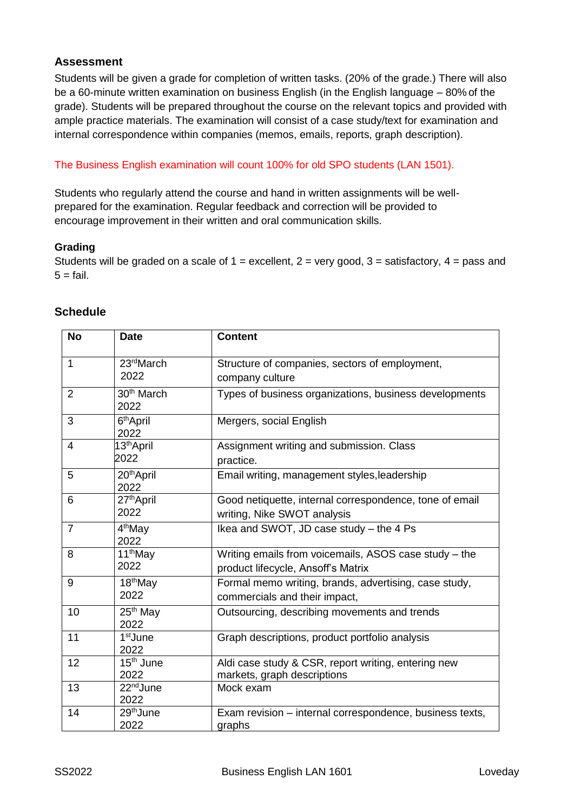## **Assessment**

Students will be given a grade for completion of written tasks. (20% of the grade.) There will also be a 60-minute written examination on business English (in the English language – 80% of the grade). Students will be prepared throughout the course on the relevant topics and provided with ample practice materials. The examination will consist of a case study/text for examination and internal correspondence within companies (memos, emails, reports, graph description).

### The Business English examination will count 100% for old SPO students (LAN 1501).

Students who regularly attend the course and hand in written assignments will be wellprepared for the examination. Regular feedback and correction will be provided to encourage improvement in their written and oral communication skills.

#### **Grading**

Students will be graded on a scale of  $1 =$  excellent,  $2 =$  very good,  $3 =$  satisfactory,  $4 =$  pass and  $5 = \text{fail.}$ 

| <b>No</b>      | <b>Date</b>                    | <b>Content</b>                                                                              |
|----------------|--------------------------------|---------------------------------------------------------------------------------------------|
| $\mathbf{1}$   | 23rdMarch<br>2022              | Structure of companies, sectors of employment,<br>company culture                           |
| $\overline{2}$ | 30 <sup>th</sup> March<br>2022 | Types of business organizations, business developments                                      |
| 3              | 6 <sup>th</sup> April<br>2022  | Mergers, social English                                                                     |
| 4              | 13 <sup>th</sup> April<br>2022 | Assignment writing and submission. Class<br>practice.                                       |
| 5              | 20 <sup>th</sup> April<br>2022 | Email writing, management styles, leadership                                                |
| 6              | 27 <sup>th</sup> April<br>2022 | Good netiquette, internal correspondence, tone of email<br>writing, Nike SWOT analysis      |
| $\overline{7}$ | 4 <sup>th</sup> May<br>2022    | Ikea and SWOT, JD case study - the 4 Ps                                                     |
| 8              | 11 <sup>th</sup> May<br>2022   | Writing emails from voicemails, ASOS case study - the<br>product lifecycle, Ansoff's Matrix |
| 9              | 18 <sup>th</sup> May<br>2022   | Formal memo writing, brands, advertising, case study,<br>commercials and their impact,      |
| 10             | 25 <sup>th</sup> May<br>2022   | Outsourcing, describing movements and trends                                                |
| 11             | 1 <sup>st</sup> June<br>2022   | Graph descriptions, product portfolio analysis                                              |
| 12             | 15 <sup>th</sup> June<br>2022  | Aldi case study & CSR, report writing, entering new<br>markets, graph descriptions          |
| 13             | 22 <sup>nd</sup> June<br>2022  | Mock exam                                                                                   |
| 14             | 29 <sup>th</sup> June<br>2022  | Exam revision - internal correspondence, business texts,<br>graphs                          |

## **Schedule**